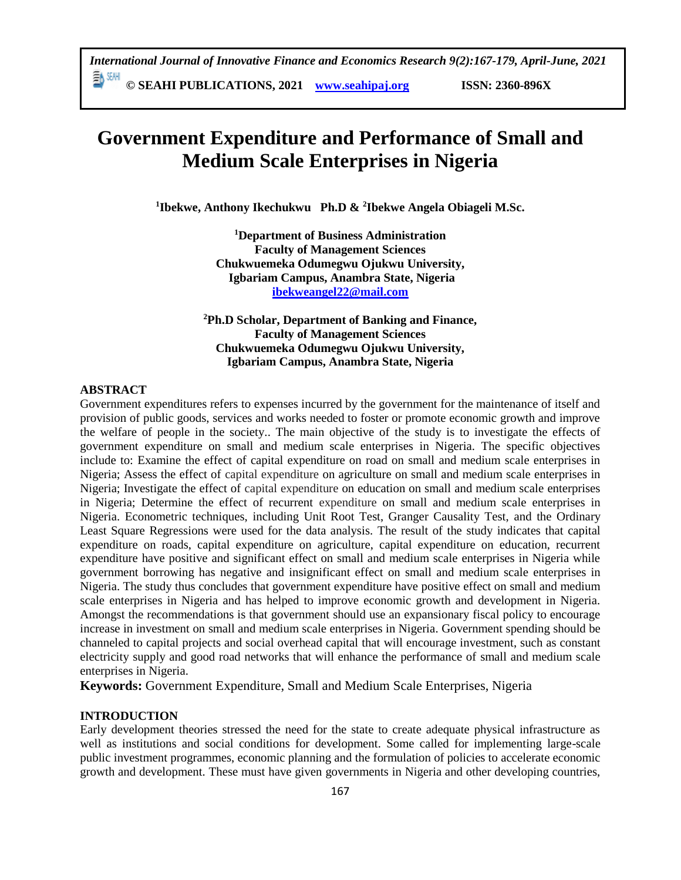# **Government Expenditure and Performance of Small and Medium Scale Enterprises in Nigeria**

**1 Ibekwe, Anthony Ikechukwu Ph.D & <sup>2</sup> Ibekwe Angela Obiageli M.Sc.**

**<sup>1</sup>Department of Business Administration Faculty of Management Sciences Chukwuemeka Odumegwu Ojukwu University, Igbariam Campus, Anambra State, Nigeria [ibekweangel22@mail.com](mailto:ibekweangel22@mail.com)**

**<sup>2</sup>Ph.D Scholar, Department of Banking and Finance, Faculty of Management Sciences Chukwuemeka Odumegwu Ojukwu University, Igbariam Campus, Anambra State, Nigeria**

### **ABSTRACT**

Government expenditures refers to expenses incurred by the government for the maintenance of itself and provision of public goods, services and works needed to foster or promote economic growth and improve the welfare of people in the society.. The main objective of the study is to investigate the effects of government expenditure on small and medium scale enterprises in Nigeria. The specific objectives include to: Examine the effect of capital expenditure on road on small and medium scale enterprises in Nigeria; Assess the effect of capital expenditure on agriculture on small and medium scale enterprises in Nigeria; Investigate the effect of capital expenditure on education on small and medium scale enterprises in Nigeria; Determine the effect of recurrent expenditure on small and medium scale enterprises in Nigeria. Econometric techniques, including Unit Root Test, Granger Causality Test, and the Ordinary Least Square Regressions were used for the data analysis. The result of the study indicates that capital expenditure on roads, capital expenditure on agriculture, capital expenditure on education, recurrent expenditure have positive and significant effect on small and medium scale enterprises in Nigeria while government borrowing has negative and insignificant effect on small and medium scale enterprises in Nigeria. The study thus concludes that government expenditure have positive effect on small and medium scale enterprises in Nigeria and has helped to improve economic growth and development in Nigeria. Amongst the recommendations is that government should use an expansionary fiscal policy to encourage increase in investment on small and medium scale enterprises in Nigeria. Government spending should be channeled to capital projects and social overhead capital that will encourage investment, such as constant electricity supply and good road networks that will enhance the performance of small and medium scale enterprises in Nigeria.

**Keywords:** Government Expenditure, Small and Medium Scale Enterprises, Nigeria

# **INTRODUCTION**

Early development theories stressed the need for the state to create adequate physical infrastructure as well as institutions and social conditions for development. Some called for implementing large-scale public investment programmes, economic planning and the formulation of policies to accelerate economic growth and development. These must have given governments in Nigeria and other developing countries,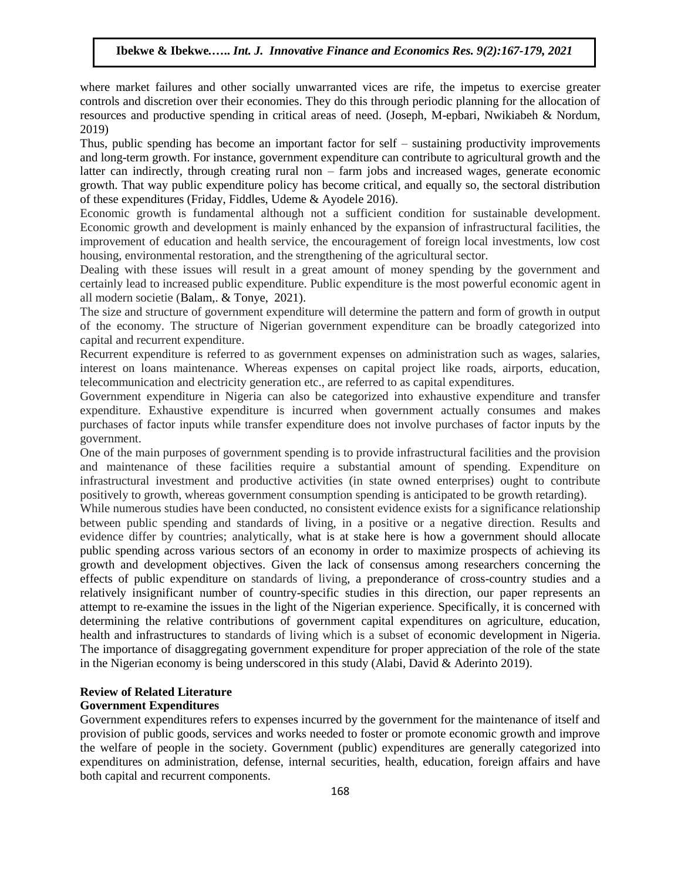where market failures and other socially unwarranted vices are rife, the impetus to exercise greater controls and discretion over their economies. They do this through periodic planning for the allocation of resources and productive spending in critical areas of need. (Joseph, M-epbari, Nwikiabeh & Nordum, 2019)

Thus, public spending has become an important factor for self – sustaining productivity improvements and long-term growth. For instance, government expenditure can contribute to agricultural growth and the latter can indirectly, through creating rural non – farm jobs and increased wages, generate economic growth. That way public expenditure policy has become critical, and equally so, the sectoral distribution of these expenditures (Friday, Fiddles, Udeme & Ayodele 2016).

Economic growth is fundamental although not a sufficient condition for sustainable development. Economic growth and development is mainly enhanced by the expansion of infrastructural facilities, the improvement of education and health service, the encouragement of foreign local investments, low cost housing, environmental restoration, and the strengthening of the agricultural sector.

Dealing with these issues will result in a great amount of money spending by the government and certainly lead to increased public expenditure. Public expenditure is the most powerful economic agent in all modern societie (Balam,. & Tonye, 2021).

The size and structure of government expenditure will determine the pattern and form of growth in output of the economy. The structure of Nigerian government expenditure can be broadly categorized into capital and recurrent expenditure.

Recurrent expenditure is referred to as government expenses on administration such as wages, salaries, interest on loans maintenance. Whereas expenses on capital project like roads, airports, education, telecommunication and electricity generation etc., are referred to as capital expenditures.

Government expenditure in Nigeria can also be categorized into exhaustive expenditure and transfer expenditure. Exhaustive expenditure is incurred when government actually consumes and makes purchases of factor inputs while transfer expenditure does not involve purchases of factor inputs by the government.

One of the main purposes of government spending is to provide infrastructural facilities and the provision and maintenance of these facilities require a substantial amount of spending. Expenditure on infrastructural investment and productive activities (in state owned enterprises) ought to contribute positively to growth, whereas government consumption spending is anticipated to be growth retarding).

While numerous studies have been conducted, no consistent evidence exists for a significance relationship between public spending and standards of living, in a positive or a negative direction. Results and evidence differ by countries; analytically, what is at stake here is how a government should allocate public spending across various sectors of an economy in order to maximize prospects of achieving its growth and development objectives. Given the lack of consensus among researchers concerning the effects of public expenditure on standards of living, a preponderance of cross-country studies and a relatively insignificant number of country-specific studies in this direction, our paper represents an attempt to re-examine the issues in the light of the Nigerian experience. Specifically, it is concerned with determining the relative contributions of government capital expenditures on agriculture, education, health and infrastructures to standards of living which is a subset of economic development in Nigeria. The importance of disaggregating government expenditure for proper appreciation of the role of the state in the Nigerian economy is being underscored in this study (Alabi, David & Aderinto 2019).

#### **Review of Related Literature Government Expenditures**

Government expenditures refers to expenses incurred by the government for the maintenance of itself and provision of public goods, services and works needed to foster or promote economic growth and improve the welfare of people in the society. Government (public) expenditures are generally categorized into expenditures on administration, defense, internal securities, health, education, foreign affairs and have both capital and recurrent components.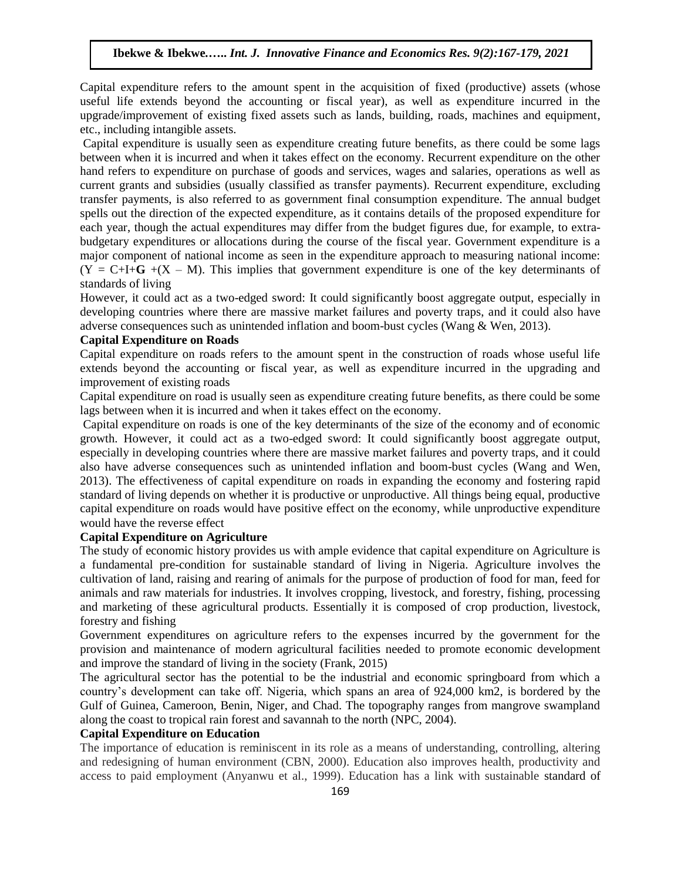Capital expenditure refers to the amount spent in the acquisition of fixed (productive) assets (whose useful life extends beyond the accounting or fiscal year), as well as expenditure incurred in the upgrade/improvement of existing fixed assets such as lands, building, roads, machines and equipment, etc., including intangible assets.

Capital expenditure is usually seen as expenditure creating future benefits, as there could be some lags between when it is incurred and when it takes effect on the economy. Recurrent expenditure on the other hand refers to expenditure on purchase of goods and services, wages and salaries, operations as well as current grants and subsidies (usually classified as transfer payments). Recurrent expenditure, excluding transfer payments, is also referred to as government final consumption expenditure. The annual budget spells out the direction of the expected expenditure, as it contains details of the proposed expenditure for each year, though the actual expenditures may differ from the budget figures due, for example, to extrabudgetary expenditures or allocations during the course of the fiscal year. Government expenditure is a major component of national income as seen in the expenditure approach to measuring national income:  $(Y = C+I+G + (X - M))$ . This implies that government expenditure is one of the key determinants of standards of living

However, it could act as a two-edged sword: It could significantly boost aggregate output, especially in developing countries where there are massive market failures and poverty traps, and it could also have adverse consequences such as unintended inflation and boom-bust cycles (Wang & Wen, 2013).

#### **Capital Expenditure on Roads**

Capital expenditure on roads refers to the amount spent in the construction of roads whose useful life extends beyond the accounting or fiscal year, as well as expenditure incurred in the upgrading and improvement of existing roads

Capital expenditure on road is usually seen as expenditure creating future benefits, as there could be some lags between when it is incurred and when it takes effect on the economy.

Capital expenditure on roads is one of the key determinants of the size of the economy and of economic growth. However, it could act as a two-edged sword: It could significantly boost aggregate output, especially in developing countries where there are massive market failures and poverty traps, and it could also have adverse consequences such as unintended inflation and boom-bust cycles (Wang and Wen, 2013). The effectiveness of capital expenditure on roads in expanding the economy and fostering rapid standard of living depends on whether it is productive or unproductive. All things being equal, productive capital expenditure on roads would have positive effect on the economy, while unproductive expenditure would have the reverse effect

#### **Capital Expenditure on Agriculture**

The study of economic history provides us with ample evidence that capital expenditure on Agriculture is a fundamental pre-condition for sustainable standard of living in Nigeria. Agriculture involves the cultivation of land, raising and rearing of animals for the purpose of production of food for man, feed for animals and raw materials for industries. It involves cropping, livestock, and forestry, fishing, processing and marketing of these agricultural products. Essentially it is composed of crop production, livestock, forestry and fishing

Government expenditures on agriculture refers to the expenses incurred by the government for the provision and maintenance of modern agricultural facilities needed to promote economic development and improve the standard of living in the society (Frank, 2015)

The agricultural sector has the potential to be the industrial and economic springboard from which a country's development can take off. Nigeria, which spans an area of 924,000 km2, is bordered by the Gulf of Guinea, Cameroon, Benin, Niger, and Chad. The topography ranges from mangrove swampland along the coast to tropical rain forest and savannah to the north (NPC, 2004).

#### **Capital Expenditure on Education**

The importance of education is reminiscent in its role as a means of understanding, controlling, altering and redesigning of human environment (CBN, 2000). Education also improves health, productivity and access to paid employment (Anyanwu et al., 1999). Education has a link with sustainable standard of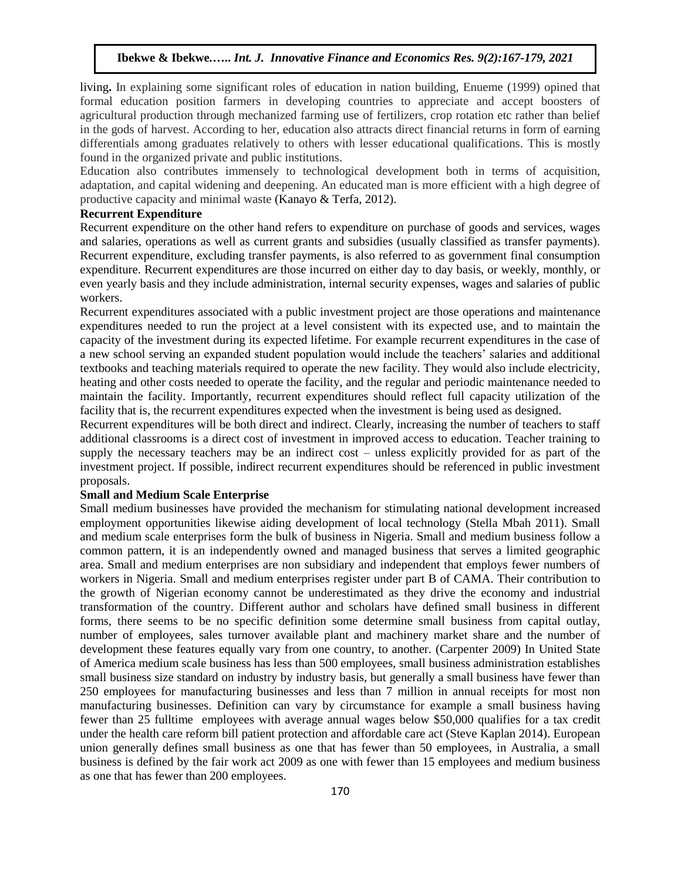living**.** In explaining some significant roles of education in nation building, Enueme (1999) opined that formal education position farmers in developing countries to appreciate and accept boosters of agricultural production through mechanized farming use of fertilizers, crop rotation etc rather than belief in the gods of harvest. According to her, education also attracts direct financial returns in form of earning differentials among graduates relatively to others with lesser educational qualifications. This is mostly found in the organized private and public institutions.

Education also contributes immensely to technological development both in terms of acquisition, adaptation, and capital widening and deepening. An educated man is more efficient with a high degree of productive capacity and minimal waste (Kanayo & Terfa, 2012).

#### **Recurrent Expenditure**

Recurrent expenditure on the other hand refers to expenditure on purchase of goods and services, wages and salaries, operations as well as current grants and subsidies (usually classified as transfer payments). Recurrent expenditure, excluding transfer payments, is also referred to as government final consumption expenditure. Recurrent expenditures are those incurred on either day to day basis, or weekly, monthly, or even yearly basis and they include administration, internal security expenses, wages and salaries of public workers.

Recurrent expenditures associated with a public investment project are those operations and maintenance expenditures needed to run the project at a level consistent with its expected use, and to maintain the capacity of the investment during its expected lifetime. For example recurrent expenditures in the case of a new school serving an expanded student population would include the teachers' salaries and additional textbooks and teaching materials required to operate the new facility. They would also include electricity, heating and other costs needed to operate the facility, and the regular and periodic maintenance needed to maintain the facility. Importantly, recurrent expenditures should reflect full capacity utilization of the facility that is, the recurrent expenditures expected when the investment is being used as designed.

Recurrent expenditures will be both direct and indirect. Clearly, increasing the number of teachers to staff additional classrooms is a direct cost of investment in improved access to education. Teacher training to supply the necessary teachers may be an indirect cost – unless explicitly provided for as part of the investment project. If possible, indirect recurrent expenditures should be referenced in public investment proposals.

#### **Small and Medium Scale Enterprise**

Small medium businesses have provided the mechanism for stimulating national development increased employment opportunities likewise aiding development of local technology (Stella Mbah 2011). Small and medium scale enterprises form the bulk of business in Nigeria. Small and medium business follow a common pattern, it is an independently owned and managed business that serves a limited geographic area. Small and medium enterprises are non subsidiary and independent that employs fewer numbers of workers in Nigeria. Small and medium enterprises register under part B of CAMA. Their contribution to the growth of Nigerian economy cannot be underestimated as they drive the economy and industrial transformation of the country. Different author and scholars have defined small business in different forms, there seems to be no specific definition some determine small business from capital outlay, number of employees, sales turnover available plant and machinery market share and the number of development these features equally vary from one country, to another. (Carpenter 2009) In United State of America medium scale business has less than 500 employees, small business administration establishes small business size standard on industry by industry basis, but generally a small business have fewer than 250 employees for manufacturing businesses and less than 7 million in annual receipts for most non manufacturing businesses. Definition can vary by circumstance for example a small business having fewer than 25 fulltime employees with average annual wages below \$50,000 qualifies for a tax credit under the health care reform bill patient protection and affordable care act (Steve Kaplan 2014). European union generally defines small business as one that has fewer than 50 employees, in Australia, a small business is defined by the fair work act 2009 as one with fewer than 15 employees and medium business as one that has fewer than 200 employees.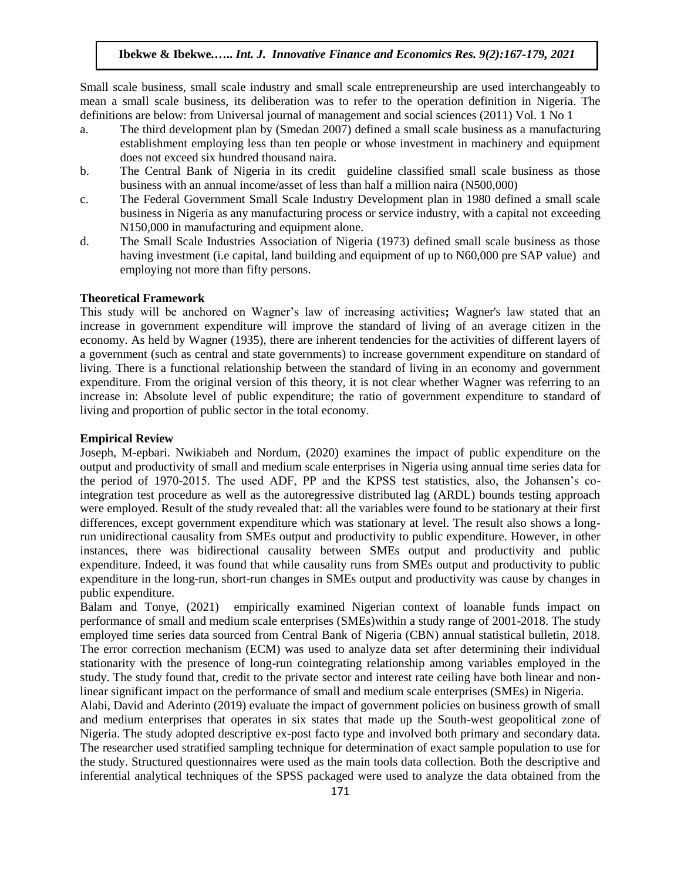Small scale business, small scale industry and small scale entrepreneurship are used interchangeably to mean a small scale business, its deliberation was to refer to the operation definition in Nigeria. The definitions are below: from Universal journal of management and social sciences (2011) Vol. 1 No 1

- a. The third development plan by (Smedan 2007) defined a small scale business as a manufacturing establishment employing less than ten people or whose investment in machinery and equipment does not exceed six hundred thousand naira.
- b. The Central Bank of Nigeria in its credit guideline classified small scale business as those business with an annual income/asset of less than half a million naira (N500,000)
- c. The Federal Government Small Scale Industry Development plan in 1980 defined a small scale business in Nigeria as any manufacturing process or service industry, with a capital not exceeding N150,000 in manufacturing and equipment alone.
- d. The Small Scale Industries Association of Nigeria (1973) defined small scale business as those having investment (i.e capital, land building and equipment of up to N60,000 pre SAP value) and employing not more than fifty persons.

#### **Theoretical Framework**

This study will be anchored on Wagner's law of increasing activities**;** Wagner's law stated that an increase in government expenditure will improve the standard of living of an average citizen in the economy. As held by Wagner (1935), there are inherent tendencies for the activities of different layers of a government (such as central and state governments) to increase government expenditure on standard of living. There is a functional relationship between the standard of living in an economy and government expenditure. From the original version of this theory, it is not clear whether Wagner was referring to an increase in: Absolute level of public expenditure; the ratio of government expenditure to standard of living and proportion of public sector in the total economy.

#### **Empirical Review**

Joseph, M-epbari. Nwikiabeh and Nordum, (2020) examines the impact of public expenditure on the output and productivity of small and medium scale enterprises in Nigeria using annual time series data for the period of 1970-2015. The used ADF, PP and the KPSS test statistics, also, the Johansen's cointegration test procedure as well as the autoregressive distributed lag (ARDL) bounds testing approach were employed. Result of the study revealed that: all the variables were found to be stationary at their first differences, except government expenditure which was stationary at level. The result also shows a longrun unidirectional causality from SMEs output and productivity to public expenditure. However, in other instances, there was bidirectional causality between SMEs output and productivity and public expenditure. Indeed, it was found that while causality runs from SMEs output and productivity to public expenditure in the long-run, short-run changes in SMEs output and productivity was cause by changes in public expenditure.

Balam and Tonye, (2021) empirically examined Nigerian context of loanable funds impact on performance of small and medium scale enterprises (SMEs)within a study range of 2001-2018. The study employed time series data sourced from Central Bank of Nigeria (CBN) annual statistical bulletin, 2018. The error correction mechanism (ECM) was used to analyze data set after determining their individual stationarity with the presence of long-run cointegrating relationship among variables employed in the study. The study found that, credit to the private sector and interest rate ceiling have both linear and nonlinear significant impact on the performance of small and medium scale enterprises (SMEs) in Nigeria.

Alabi, David and Aderinto (2019) evaluate the impact of government policies on business growth of small and medium enterprises that operates in six states that made up the South-west geopolitical zone of Nigeria. The study adopted descriptive ex-post facto type and involved both primary and secondary data. The researcher used stratified sampling technique for determination of exact sample population to use for the study. Structured questionnaires were used as the main tools data collection. Both the descriptive and inferential analytical techniques of the SPSS packaged were used to analyze the data obtained from the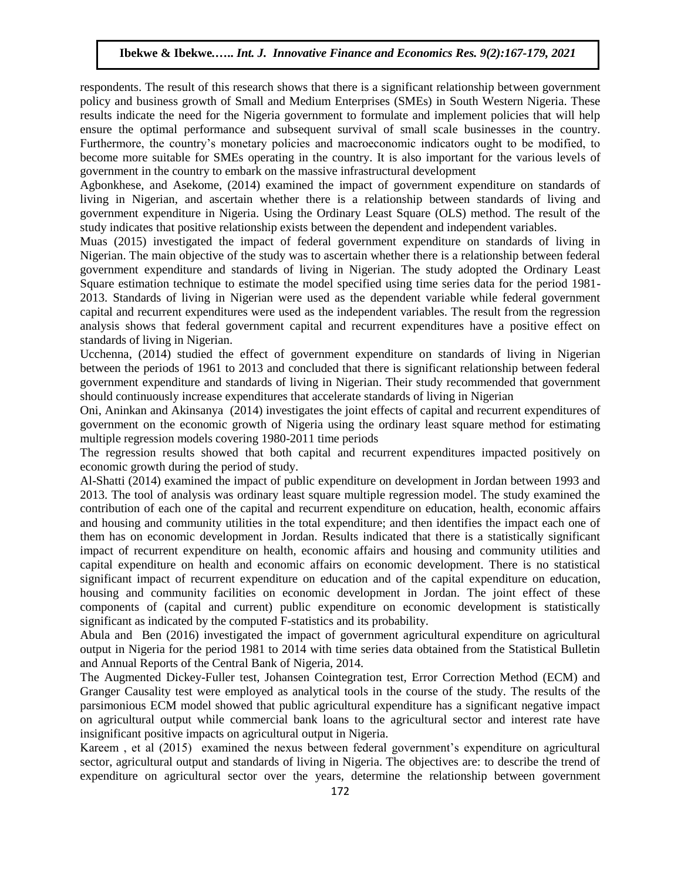respondents. The result of this research shows that there is a significant relationship between government policy and business growth of Small and Medium Enterprises (SMEs) in South Western Nigeria. These results indicate the need for the Nigeria government to formulate and implement policies that will help ensure the optimal performance and subsequent survival of small scale businesses in the country. Furthermore, the country's monetary policies and macroeconomic indicators ought to be modified, to become more suitable for SMEs operating in the country. It is also important for the various levels of government in the country to embark on the massive infrastructural development

Agbonkhese, and Asekome, (2014) examined the impact of government expenditure on standards of living in Nigerian, and ascertain whether there is a relationship between standards of living and government expenditure in Nigeria. Using the Ordinary Least Square (OLS) method. The result of the study indicates that positive relationship exists between the dependent and independent variables.

Muas (2015) investigated the impact of federal government expenditure on standards of living in Nigerian. The main objective of the study was to ascertain whether there is a relationship between federal government expenditure and standards of living in Nigerian. The study adopted the Ordinary Least Square estimation technique to estimate the model specified using time series data for the period 1981- 2013. Standards of living in Nigerian were used as the dependent variable while federal government capital and recurrent expenditures were used as the independent variables. The result from the regression analysis shows that federal government capital and recurrent expenditures have a positive effect on standards of living in Nigerian.

Ucchenna, (2014) studied the effect of government expenditure on standards of living in Nigerian between the periods of 1961 to 2013 and concluded that there is significant relationship between federal government expenditure and standards of living in Nigerian. Their study recommended that government should continuously increase expenditures that accelerate standards of living in Nigerian

Oni, Aninkan and Akinsanya (2014) investigates the joint effects of capital and recurrent expenditures of government on the economic growth of Nigeria using the ordinary least square method for estimating multiple regression models covering 1980-2011 time periods

The regression results showed that both capital and recurrent expenditures impacted positively on economic growth during the period of study.

Al-Shatti (2014) examined the impact of public expenditure on development in Jordan between 1993 and 2013. The tool of analysis was ordinary least square multiple regression model. The study examined the contribution of each one of the capital and recurrent expenditure on education, health, economic affairs and housing and community utilities in the total expenditure; and then identifies the impact each one of them has on economic development in Jordan. Results indicated that there is a statistically significant impact of recurrent expenditure on health, economic affairs and housing and community utilities and capital expenditure on health and economic affairs on economic development. There is no statistical significant impact of recurrent expenditure on education and of the capital expenditure on education, housing and community facilities on economic development in Jordan. The joint effect of these components of (capital and current) public expenditure on economic development is statistically significant as indicated by the computed F-statistics and its probability.

Abula and Ben (2016) investigated the impact of government agricultural expenditure on agricultural output in Nigeria for the period 1981 to 2014 with time series data obtained from the Statistical Bulletin and Annual Reports of the Central Bank of Nigeria, 2014.

The Augmented Dickey-Fuller test, Johansen Cointegration test, Error Correction Method (ECM) and Granger Causality test were employed as analytical tools in the course of the study. The results of the parsimonious ECM model showed that public agricultural expenditure has a significant negative impact on agricultural output while commercial bank loans to the agricultural sector and interest rate have insignificant positive impacts on agricultural output in Nigeria.

Kareem , et al (2015) examined the nexus between federal government's expenditure on agricultural sector, agricultural output and standards of living in Nigeria. The objectives are: to describe the trend of expenditure on agricultural sector over the years, determine the relationship between government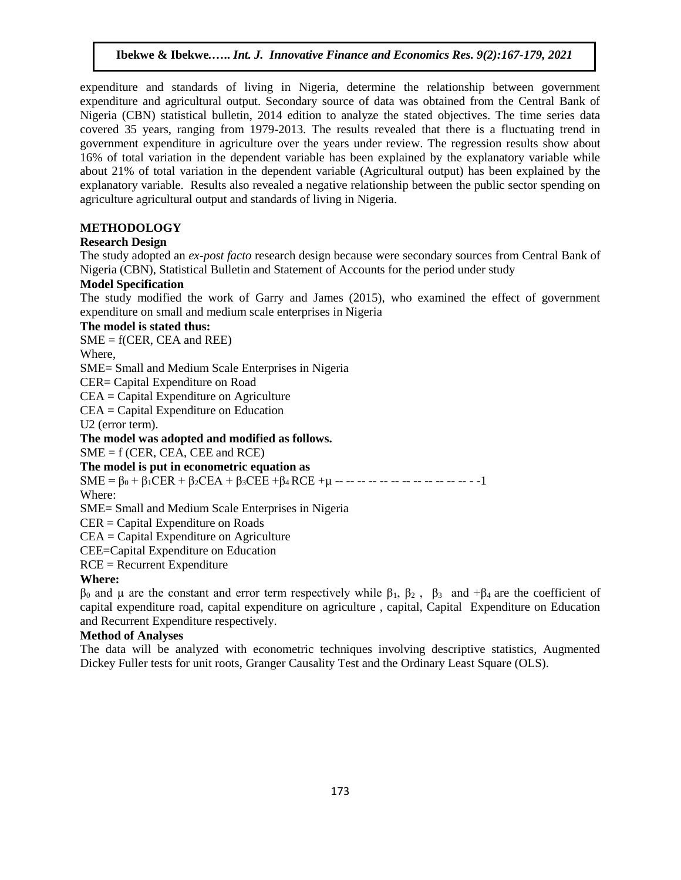expenditure and standards of living in Nigeria, determine the relationship between government expenditure and agricultural output. Secondary source of data was obtained from the Central Bank of Nigeria (CBN) statistical bulletin, 2014 edition to analyze the stated objectives. The time series data covered 35 years, ranging from 1979-2013. The results revealed that there is a fluctuating trend in government expenditure in agriculture over the years under review. The regression results show about 16% of total variation in the dependent variable has been explained by the explanatory variable while about 21% of total variation in the dependent variable (Agricultural output) has been explained by the explanatory variable. Results also revealed a negative relationship between the public sector spending on agriculture agricultural output and standards of living in Nigeria.

# **METHODOLOGY**

### **Research Design**

The study adopted an *ex-post facto* research design because were secondary sources from Central Bank of Nigeria (CBN), Statistical Bulletin and Statement of Accounts for the period under study

#### **Model Specification**

The study modified the work of Garry and James (2015), who examined the effect of government expenditure on small and medium scale enterprises in Nigeria

### **The model is stated thus:**

 $SME = f(CER, CEA, and REE)$ 

Where,

SME= Small and Medium Scale Enterprises in Nigeria

CER= Capital Expenditure on Road

CEA = Capital Expenditure on Agriculture

CEA = Capital Expenditure on Education

U2 (error term).

**The model was adopted and modified as follows.** 

 $SME = f (CER, CEA, CEE and RCE)$ 

**The model is put in econometric equation as**

 $SME = \beta_0 + \beta_1 CER + \beta_2 CEA + \beta_3 CEE + \beta_4 RCE + \mu$  ---------------------

Where:

SME= Small and Medium Scale Enterprises in Nigeria

CER = Capital Expenditure on Roads

CEA = Capital Expenditure on Agriculture

CEE=Capital Expenditure on Education

RCE = Recurrent Expenditure

# **Where:**

 $β_0$  and μ are the constant and error term respectively while  $β_1$ ,  $β_2$ ,  $β_3$  and  $+β_4$  are the coefficient of capital expenditure road, capital expenditure on agriculture , capital, Capital Expenditure on Education and Recurrent Expenditure respectively.

#### **Method of Analyses**

The data will be analyzed with econometric techniques involving descriptive statistics, Augmented Dickey Fuller tests for unit roots, Granger Causality Test and the Ordinary Least Square (OLS).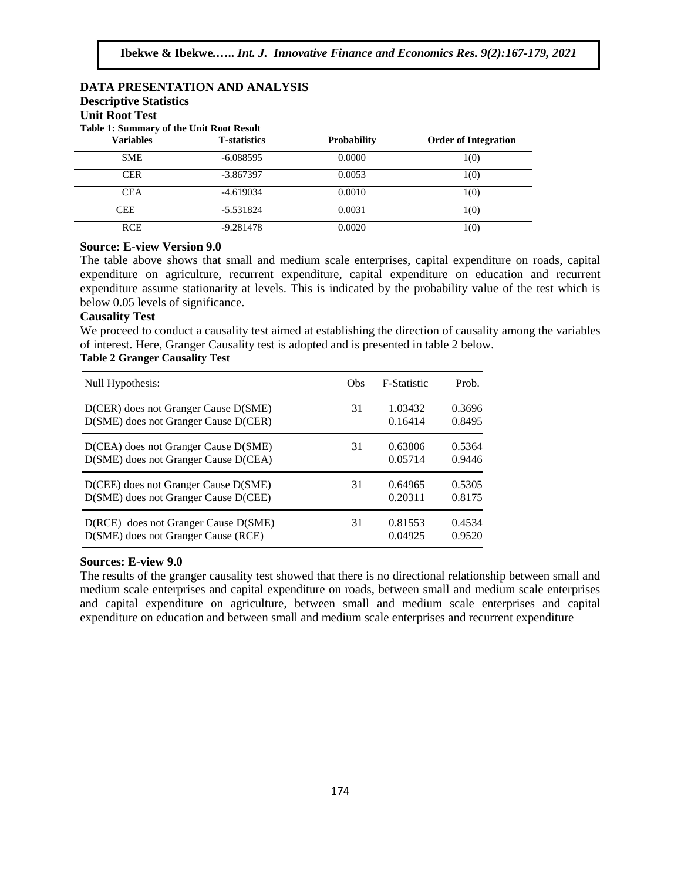#### **DATA PRESENTATION AND ANALYSIS Descriptive Statistics**

# **Unit Root Test**

**Table 1: Summary of the Unit Root Result** 

| <b>Variables</b> | <b>T</b> -statistics | <b>Probability</b> | <b>Order of Integration</b> |  |  |
|------------------|----------------------|--------------------|-----------------------------|--|--|
| <b>SME</b>       | $-6.088595$          | 0.0000             | 1(0)                        |  |  |
| <b>CER</b>       | $-3.867397$          | 0.0053             | 1(0)                        |  |  |
| <b>CEA</b>       | $-4.619034$          | 0.0010             | 1(0)                        |  |  |
| <b>CEE</b>       | $-5.531824$          | 0.0031             | 1(0)                        |  |  |
| <b>RCE</b>       | $-9.281478$          | 0.0020             | 1(0)                        |  |  |

# **Source: E-view Version 9.0**

The table above shows that small and medium scale enterprises, capital expenditure on roads, capital expenditure on agriculture, recurrent expenditure, capital expenditure on education and recurrent expenditure assume stationarity at levels. This is indicated by the probability value of the test which is below 0.05 levels of significance.

#### **Causality Test**

We proceed to conduct a causality test aimed at establishing the direction of causality among the variables of interest. Here, Granger Causality test is adopted and is presented in table 2 below.

# **Table 2 Granger Causality Test**

| Null Hypothesis:                     | Obs | <b>F-Statistic</b> | Prob.  |
|--------------------------------------|-----|--------------------|--------|
| D(CER) does not Granger Cause D(SME) | 31  | 1.03432            | 0.3696 |
| D(SME) does not Granger Cause D(CER) |     | 0.16414            | 0.8495 |
| D(CEA) does not Granger Cause D(SME) | 31  | 0.63806            | 0.5364 |
| D(SME) does not Granger Cause D(CEA) |     | 0.05714            | 0.9446 |
| D(CEE) does not Granger Cause D(SME) | 31  | 0.64965            | 0.5305 |
| D(SME) does not Granger Cause D(CEE) |     | 0.20311            | 0.8175 |
| D(RCE) does not Granger Cause D(SME) | 31  | 0.81553            | 0.4534 |
| D(SME) does not Granger Cause (RCE)  |     | 0.04925            | 0.9520 |

# **Sources: E-view 9.0**

The results of the granger causality test showed that there is no directional relationship between small and medium scale enterprises and capital expenditure on roads, between small and medium scale enterprises and capital expenditure on agriculture, between small and medium scale enterprises and capital expenditure on education and between small and medium scale enterprises and recurrent expenditure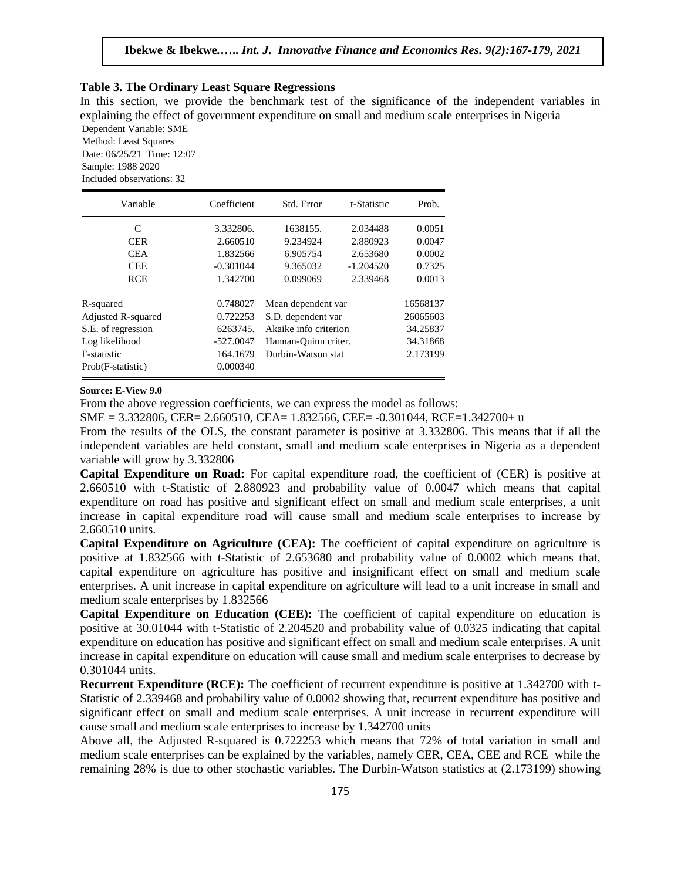#### **Table 3. The Ordinary Least Square Regressions**

In this section, we provide the benchmark test of the significance of the independent variables in explaining the effect of government expenditure on small and medium scale enterprises in Nigeria Dependent Variable: SME

Method: Least Squares Date: 06/25/21 Time: 12:07 Sample: 1988 2020 Included observations: 32

| Variable           | Coefficient | Std. Error            | t-Statistic | Prob.    |
|--------------------|-------------|-----------------------|-------------|----------|
| C                  | 3.332806.   | 1638155.              | 2.034488    | 0.0051   |
| <b>CER</b>         | 2.660510    | 9.234924              | 2.880923    | 0.0047   |
| <b>CEA</b>         | 1.832566    | 6.905754              | 2.653680    | 0.0002   |
| <b>CEE</b>         | $-0.301044$ | 9.365032              | $-1.204520$ | 0.7325   |
| <b>RCE</b>         | 1.342700    | 0.099069              | 2.339468    | 0.0013   |
| R-squared          | 0.748027    | Mean dependent var    |             | 16568137 |
| Adjusted R-squared | 0.722253    | S.D. dependent var    | 26065603    |          |
| S.E. of regression | 6263745.    | Akaike info criterion | 34.25837    |          |
| Log likelihood     | $-527.0047$ | Hannan-Quinn criter.  | 34.31868    |          |
| F-statistic        | 164.1679    | Durbin-Watson stat    | 2.173199    |          |
| Prob(F-statistic)  | 0.000340    |                       |             |          |

#### **Source: E-View 9.0**

From the above regression coefficients, we can express the model as follows:

SME = 3.332806, CER= 2.660510, CEA= 1.832566, CEE= -0.301044, RCE=1.342700+ u

From the results of the OLS, the constant parameter is positive at 3.332806. This means that if all the independent variables are held constant, small and medium scale enterprises in Nigeria as a dependent variable will grow by 3.332806

**Capital Expenditure on Road:** For capital expenditure road, the coefficient of (CER) is positive at 2.660510 with t-Statistic of 2.880923 and probability value of 0.0047 which means that capital expenditure on road has positive and significant effect on small and medium scale enterprises, a unit increase in capital expenditure road will cause small and medium scale enterprises to increase by 2.660510 units.

**Capital Expenditure on Agriculture (CEA):** The coefficient of capital expenditure on agriculture is positive at 1.832566 with t-Statistic of 2.653680 and probability value of 0.0002 which means that, capital expenditure on agriculture has positive and insignificant effect on small and medium scale enterprises. A unit increase in capital expenditure on agriculture will lead to a unit increase in small and medium scale enterprises by 1.832566

**Capital Expenditure on Education (CEE):** The coefficient of capital expenditure on education is positive at 30.01044 with t-Statistic of 2.204520 and probability value of 0.0325 indicating that capital expenditure on education has positive and significant effect on small and medium scale enterprises. A unit increase in capital expenditure on education will cause small and medium scale enterprises to decrease by 0.301044 units.

**Recurrent Expenditure (RCE):** The coefficient of recurrent expenditure is positive at 1.342700 with t-Statistic of 2.339468 and probability value of 0.0002 showing that, recurrent expenditure has positive and significant effect on small and medium scale enterprises. A unit increase in recurrent expenditure will cause small and medium scale enterprises to increase by 1.342700 units

Above all, the Adjusted R-squared is 0.722253 which means that 72% of total variation in small and medium scale enterprises can be explained by the variables, namely CER, CEA, CEE and RCE while the remaining 28% is due to other stochastic variables. The Durbin-Watson statistics at (2.173199) showing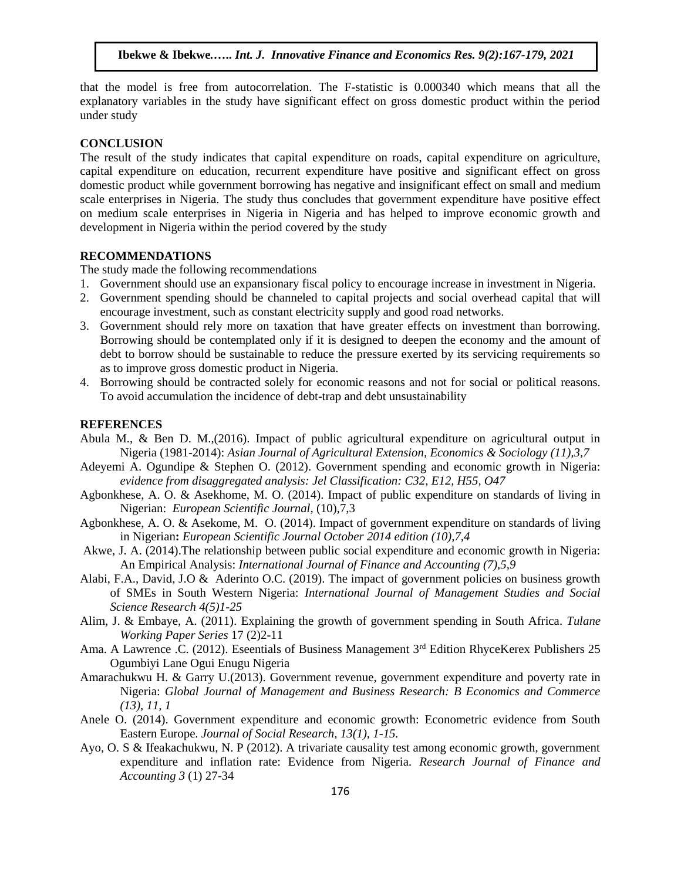that the model is free from autocorrelation. The F-statistic is 0.000340 which means that all the explanatory variables in the study have significant effect on gross domestic product within the period under study

#### **CONCLUSION**

The result of the study indicates that capital expenditure on roads, capital expenditure on agriculture, capital expenditure on education, recurrent expenditure have positive and significant effect on gross domestic product while government borrowing has negative and insignificant effect on small and medium scale enterprises in Nigeria. The study thus concludes that government expenditure have positive effect on medium scale enterprises in Nigeria in Nigeria and has helped to improve economic growth and development in Nigeria within the period covered by the study

## **RECOMMENDATIONS**

The study made the following recommendations

- 1. Government should use an expansionary fiscal policy to encourage increase in investment in Nigeria.
- 2. Government spending should be channeled to capital projects and social overhead capital that will encourage investment, such as constant electricity supply and good road networks.
- 3. Government should rely more on taxation that have greater effects on investment than borrowing. Borrowing should be contemplated only if it is designed to deepen the economy and the amount of debt to borrow should be sustainable to reduce the pressure exerted by its servicing requirements so as to improve gross domestic product in Nigeria.
- 4. Borrowing should be contracted solely for economic reasons and not for social or political reasons. To avoid accumulation the incidence of debt-trap and debt unsustainability

#### **REFERENCES**

- Abula M., & Ben D. M.,(2016). Impact of public agricultural expenditure on agricultural output in Nigeria (1981-2014): *Asian Journal of Agricultural Extension, Economics & Sociology (11),3,7*
- Adeyemi A. Ogundipe & Stephen O. (2012). Government spending and economic growth in Nigeria: *evidence from disaggregated analysis: Jel Classification: C32, E12, H55, O47*
- Agbonkhese, A. O. & Asekhome, M. O. (2014). Impact of public expenditure on standards of living in Nigerian: *European Scientific Journal*, (10),7,3
- Agbonkhese, A. O. & Asekome, M. O. (2014). Impact of government expenditure on standards of living in Nigerian**:** *European Scientific Journal October 2014 edition (10),7,4*
- Akwe, J. A. (2014).The relationship between public social expenditure and economic growth in Nigeria: An Empirical Analysis: *International Journal of Finance and Accounting (7),5,9*
- Alabi, F.A., David, J.O & Aderinto O.C. (2019). The impact of government policies on business growth of SMEs in South Western Nigeria: *International Journal of Management Studies and Social Science Research 4(5)1-25*
- Alim, J. & Embaye, A. (2011). Explaining the growth of government spending in South Africa. *Tulane Working Paper Series* 17 (2)2-11
- Ama. A Lawrence .C. (2012). Eseentials of Business Management 3<sup>rd</sup> Edition RhyceKerex Publishers 25 Ogumbiyi Lane Ogui Enugu Nigeria
- Amarachukwu H. & Garry U.(2013). Government revenue, government expenditure and poverty rate in Nigeria: *Global Journal of Management and Business Research: B Economics and Commerce (13), 11, 1*
- Anele O. (2014). Government expenditure and economic growth: Econometric evidence from South Eastern Europe. *Journal of Social Research, 13(1), 1-15.*
- Ayo, O. S & Ifeakachukwu, N. P (2012). A trivariate causality test among economic growth, government expenditure and inflation rate: Evidence from Nigeria. *Research Journal of Finance and Accounting 3* (1) 27-34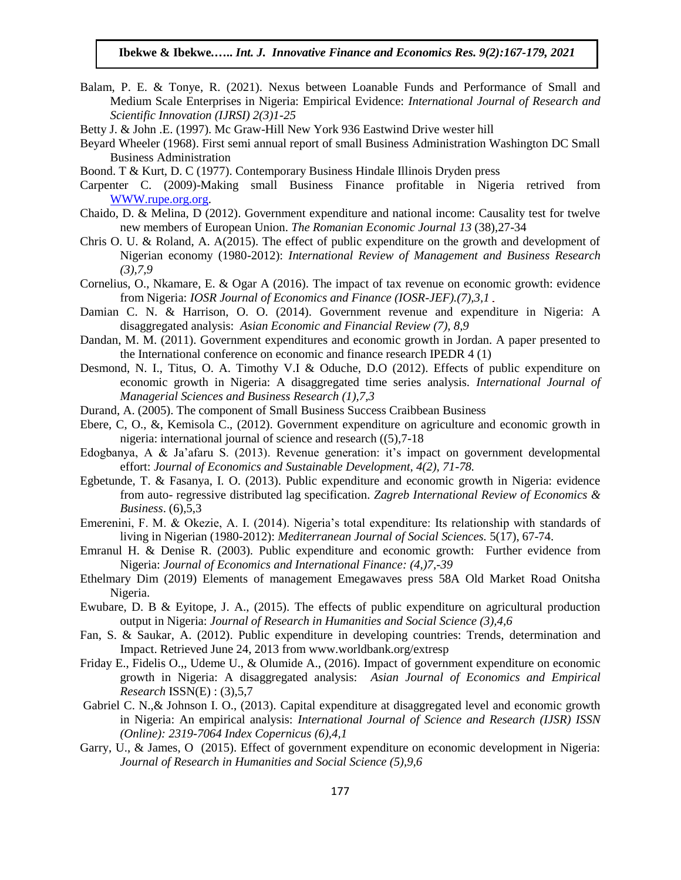- Balam, P. E. & Tonye, R. (2021). Nexus between Loanable Funds and Performance of Small and Medium Scale Enterprises in Nigeria: Empirical Evidence: *International Journal of Research and Scientific Innovation (IJRSI) 2(3)1-25*
- Betty J. & John .E. (1997). Mc Graw-Hill New York 936 Eastwind Drive wester hill
- Beyard Wheeler (1968). First semi annual report of small Business Administration Washington DC Small Business Administration
- Boond. T & Kurt, D. C (1977). Contemporary Business Hindale Illinois Dryden press
- Carpenter C. (2009)-Making small Business Finance profitable in Nigeria retrived from [WWW.rupe.org.org.](http://www.rupe.org.org/)
- Chaido, D. & Melina, D (2012). Government expenditure and national income: Causality test for twelve new members of European Union. *The Romanian Economic Journal 13* (38),27-34
- Chris O. U. & Roland, A. A(2015). The effect of public expenditure on the growth and development of Nigerian economy (1980-2012): *International Review of Management and Business Research (3),7,9*
- Cornelius, O., Nkamare, E. & Ogar A (2016). The impact of tax revenue on economic growth: evidence from Nigeria: *IOSR Journal of Economics and Finance (IOSR-JEF).(7),3,1*
- Damian C. N. & Harrison, O. O. (2014). Government revenue and expenditure in Nigeria: A disaggregated analysis: *Asian Economic and Financial Review (7), 8,9*
- Dandan, M. M. (2011). Government expenditures and economic growth in Jordan. A paper presented to the International conference on economic and finance research IPEDR 4 (1)
- Desmond, N. I., Titus, O. A. Timothy V.I & Oduche, D.O (2012). Effects of public expenditure on economic growth in Nigeria: A disaggregated time series analysis. *International Journal of Managerial Sciences and Business Research (1),7,3*
- Durand, A. (2005). The component of Small Business Success Craibbean Business
- Ebere, C, O., &, Kemisola C., (2012). Government expenditure on agriculture and economic growth in nigeria: international journal of science and research ((5),7-18
- Edogbanya, A & Ja'afaru S. (2013). Revenue generation: it's impact on government developmental effort: *Journal of Economics and Sustainable Development, 4(2), 71-78.*
- Egbetunde, T. & Fasanya, I. O. (2013). Public expenditure and economic growth in Nigeria: evidence from auto- regressive distributed lag specification. *Zagreb International Review of Economics & Business*. (6),5,3
- Emerenini, F. M. & Okezie, A. I. (2014). Nigeria's total expenditure: Its relationship with standards of living in Nigerian (1980-2012): *Mediterranean Journal of Social Sciences.* 5(17), 67-74.
- Emranul H. & Denise R. (2003). Public expenditure and economic growth: Further evidence from Nigeria: *Journal of Economics and International Finance: (4,)7,-39*
- Ethelmary Dim (2019) Elements of management Emegawaves press 58A Old Market Road Onitsha Nigeria.
- Ewubare, D. B & Eyitope, J. A., (2015). The effects of public expenditure on agricultural production output in Nigeria: *Journal of Research in Humanities and Social Science (3),4,6*
- Fan, S. & Saukar, A. (2012). Public expenditure in developing countries: Trends, determination and Impact. Retrieved June 24, 2013 from www.worldbank.org/extresp
- Friday E., Fidelis O.,, Udeme U., & Olumide A., (2016). Impact of government expenditure on economic growth in Nigeria: A disaggregated analysis: *Asian Journal of Economics and Empirical Research* ISSN(E) : (3),5,7
- Gabriel C. N., & Johnson I. O., (2013). Capital expenditure at disaggregated level and economic growth in Nigeria: An empirical analysis: *International Journal of Science and Research (IJSR) ISSN (Online): 2319-7064 Index Copernicus (6),4,1*
- Garry, U., & James, O (2015). Effect of government expenditure on economic development in Nigeria: *Journal of Research in Humanities and Social Science (5),9,6*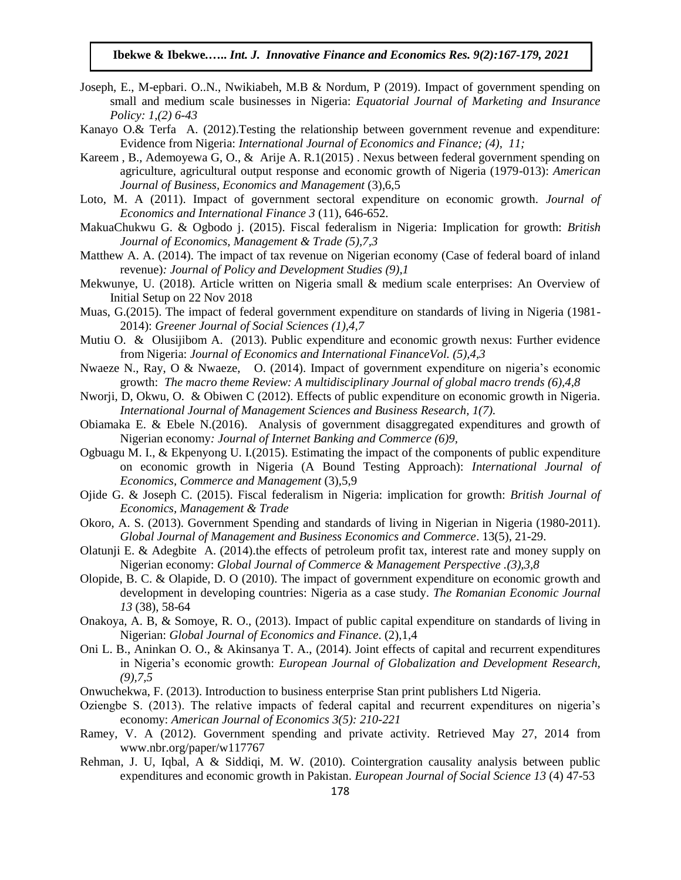- Joseph, E., M-epbari. O..N., Nwikiabeh, M.B & Nordum, P (2019). Impact of government spending on small and medium scale businesses in Nigeria: *Equatorial Journal of Marketing and Insurance Policy: 1,(2) 6-43*
- Kanayo O.& Terfa A. (2012).Testing the relationship between government revenue and expenditure: Evidence from Nigeria: *International Journal of Economics and Finance; (4), 11;*
- Kareem , B., Ademoyewa G, O., & Arije A. R.1(2015) . Nexus between federal government spending on agriculture, agricultural output response and economic growth of Nigeria (1979-013): *American Journal of Business, Economics and Management* (3),6,5
- Loto, M. A (2011). Impact of government sectoral expenditure on economic growth. *Journal of Economics and International Finance 3* (11), 646-652.
- MakuaChukwu G. & Ogbodo j. (2015). Fiscal federalism in Nigeria: Implication for growth: *British Journal of Economics, Management & Trade (5),7,3*
- Matthew A. A. (2014). The impact of tax revenue on Nigerian economy (Case of federal board of inland revenue)*: Journal of Policy and Development Studies (9),1*
- Mekwunye, U. (2018). Article written on Nigeria small & medium scale enterprises: An Overview of Initial Setup on 22 Nov 2018
- Muas, G.(2015). The impact of federal government expenditure on standards of living in Nigeria (1981- 2014): *Greener Journal of Social Sciences (1),4,7*
- Mutiu O. & Olusijibom A. (2013). Public expenditure and economic growth nexus: Further evidence from Nigeria: *Journal of Economics and International FinanceVol. (5),4,3*
- Nwaeze N., Ray, O & Nwaeze, O. (2014). Impact of government expenditure on nigeria's economic growth: *The macro theme Review: A multidisciplinary Journal of global macro trends (6),4,8*
- Nworji, D, Okwu, O. & Obiwen C (2012). Effects of public expenditure on economic growth in Nigeria. *International Journal of Management Sciences and Business Research, 1(7).*
- Obiamaka E. & Ebele N.(2016). Analysis of government disaggregated expenditures and growth of Nigerian economy*: Journal of Internet Banking and Commerce (6)9,*
- Ogbuagu M. I., & Ekpenyong U. I.(2015). Estimating the impact of the components of public expenditure on economic growth in Nigeria (A Bound Testing Approach): *International Journal of Economics, Commerce and Management* (3),5,9
- Ojide G. & Joseph C. (2015). Fiscal federalism in Nigeria: implication for growth: *British Journal of Economics, Management & Trade*
- Okoro, A. S. (2013). Government Spending and standards of living in Nigerian in Nigeria (1980-2011). *Global Journal of Management and Business Economics and Commerce*. 13(5), 21-29.
- Olatunji E. & Adegbite A. (2014).the effects of petroleum profit tax, interest rate and money supply on Nigerian economy: *Global Journal of Commerce & Management Perspective .(3),3,8*
- Olopide, B. C. & Olapide, D. O (2010). The impact of government expenditure on economic growth and development in developing countries: Nigeria as a case study. *The Romanian Economic Journal 13* (38), 58-64
- Onakoya, A. B, & Somoye, R. O., (2013). Impact of public capital expenditure on standards of living in Nigerian: *Global Journal of Economics and Finance*. (2),1,4
- Oni L. B., Aninkan O. O., & Akinsanya T. A., (2014). Joint effects of capital and recurrent expenditures in Nigeria's economic growth: *European Journal of Globalization and Development Research, (9),7,5*
- Onwuchekwa, F. (2013). Introduction to business enterprise Stan print publishers Ltd Nigeria.
- Oziengbe S. (2013). The relative impacts of federal capital and recurrent expenditures on nigeria's economy: *American Journal of Economics 3(5): 210-221*
- Ramey, V. A (2012). Government spending and private activity. Retrieved May 27, 2014 from www.nbr.org/paper/w117767
- Rehman, J. U, Iqbal, A & Siddiqi, M. W. (2010). Cointergration causality analysis between public expenditures and economic growth in Pakistan. *European Journal of Social Science 13* (4) 47-53